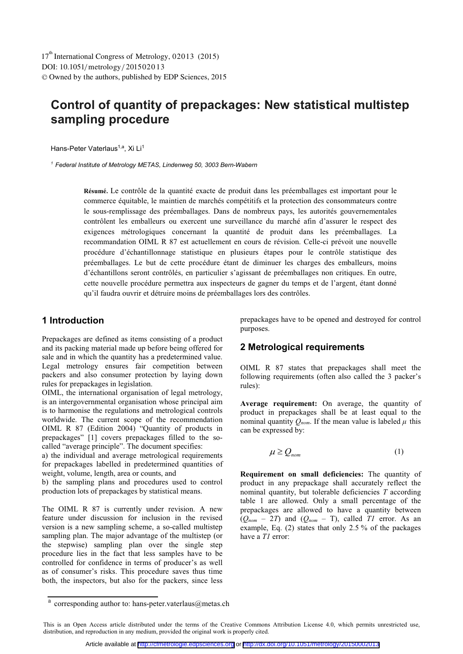# **Control of quantity of prepackages: New statistical multistep sampling procedure**

Hans-Peter Vaterlaus<sup>1,a</sup>, Xi Li<sup>1</sup>

*<sup>1</sup> Federal Institute of Metrology METAS, Lindenweg 50, 3003 Bern-Wabern* 

**Résumé.** Le contrôle de la quantité exacte de produit dans les préemballages est important pour le commerce équitable, le maintien de marchés compétitifs et la protection des consommateurs contre le sous-remplissage des préemballages. Dans de nombreux pays, les autorités gouvernementales contrôlent les emballeurs ou exercent une surveillance du marché afin d'assurer le respect des exigences métrologiques concernant la quantité de produit dans les préemballages. La recommandation OIML R 87 est actuellement en cours de révision. Celle-ci prévoit une nouvelle procédure d'échantillonnage statistique en plusieurs étapes pour le contrôle statistique des préemballages. Le but de cette procédure étant de diminuer les charges des emballeurs, moins d'échantillons seront contrôlés, en particulier s'agissant de préemballages non critiques. En outre, cette nouvelle procédure permettra aux inspecteurs de gagner du temps et de l'argent, étant donné qu'il faudra ouvrir et détruire moins de préemballages lors des contrôles.

### **1 Introduction**

Prepackages are defined as items consisting of a product and its packing material made up before being offered for sale and in which the quantity has a predetermined value. Legal metrology ensures fair competition between packers and also consumer protection by laying down rules for prepackages in legislation.

OIML, the international organisation of legal metrology, is an intergovernmental organisation whose principal aim is to harmonise the regulations and metrological controls worldwide. The current scope of the recommendation OIML R 87 (Edition 2004) "Quantity of products in prepackages" [1] covers prepackages filled to the socalled "average principle". The document specifies:

a) the individual and average metrological requirements for prepackages labelled in predetermined quantities of weight, volume, length, area or counts, and

b) the sampling plans and procedures used to control production lots of prepackages by statistical means.

The OIML R 87 is currently under revision. A new feature under discussion for inclusion in the revised version is a new sampling scheme, a so-called multistep sampling plan. The major advantage of the multistep (or the stepwise) sampling plan over the single step procedure lies in the fact that less samples have to be controlled for confidence in terms of producer's as well as of consumer's risks. This procedure saves thus time both, the inspectors, but also for the packers, since less prepackages have to be opened and destroyed for control purposes.

### **2 Metrological requirements**

OIML R 87 states that prepackages shall meet the following requirements (often also called the 3 packer's rules):

**Average requirement:** On average, the quantity of product in prepackages shall be at least equal to the nominal quantity  $Q_{nom}$ . If the mean value is labeled  $\mu$  this can be expressed by:

$$
\mu \ge Q_{\text{nom}} \tag{1}
$$

**Requirement on small deficiencies:** The quantity of product in any prepackage shall accurately reflect the nominal quantity, but tolerable deficiencies *T* according table 1 are allowed. Only a small percentage of the prepackages are allowed to have a quantity between  $(Q_{nom} - 2T)$  and  $(Q_{nom} - T)$ , called *T1* error. As an example, Eq. (2) states that only 2.5 % of the packages have a *T1* error:

a corresponding author to: hans-peter.vaterlaus@metas.ch

This is an Open Access article distributed under the terms of the Creative Commons Attribution License 4.0, which permits unrestricted use, distribution, and reproduction in any medium, provided the original work is properly cited.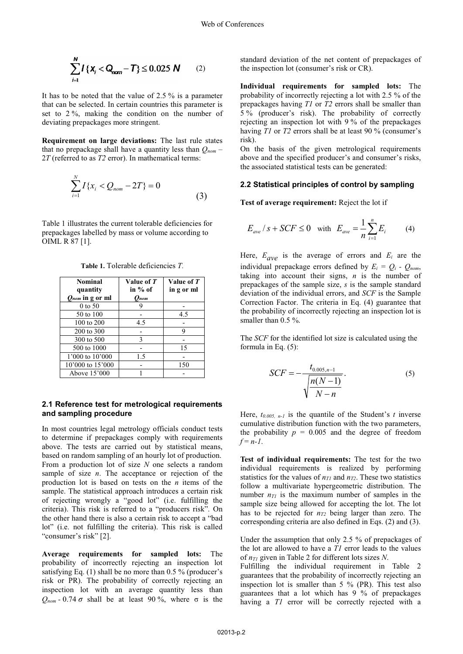$$
\sum_{i=1}^{N} I\{x_i < Q_{nom} - T\} \le 0.025 \, \text{N} \qquad (2)
$$

It has to be noted that the value of 2.5 % is a parameter that can be selected. In certain countries this parameter is set to 2 %, making the condition on the number of deviating prepackages more stringent.

**Requirement on large deviations:** The last rule states that no prepackage shall have a quantity less than  $Q_{nom}$  – 2*T* (referred to as *T2* error). In mathematical terms:

$$
\sum_{i=1}^{N} I\{x_i < Q_{nom} - 2T\} = 0\tag{3}
$$

Table 1 illustrates the current tolerable deficiencies for prepackages labelled by mass or volume according to OIML R 87 [1].

| <b>Nominal</b><br>quantity | Value of T<br>in % of | Value of T<br>in g or ml |
|----------------------------|-----------------------|--------------------------|
| $Q_{nom}$ in g or ml       | $O_{nom}$             |                          |
| 0 to 50                    |                       |                          |
| 50 to 100                  |                       | 4.5                      |
| 100 to 200                 | 4.5                   |                          |
| 200 to 300                 |                       | Q                        |
| 300 to 500                 | 3                     |                          |
| 500 to 1000                |                       | 15                       |
| 1'000 to 10'000            | 1.5                   |                          |
| 10'000 to 15'000           |                       | 150                      |
| Above 15'000               |                       |                          |

**Table 1.** Tolerable deficiencies *T*.

#### **2.1 Reference test for metrological requirements and sampling procedure**

In most countries legal metrology officials conduct tests to determine if prepackages comply with requirements above. The tests are carried out by statistical means, based on random sampling of an hourly lot of production. From a production lot of size *N* one selects a random sample of size *n*. The acceptance or rejection of the production lot is based on tests on the *n* items of the sample. The statistical approach introduces a certain risk of rejecting wrongly a "good lot" (i.e. fulfilling the criteria). This risk is referred to a "producers risk". On the other hand there is also a certain risk to accept a "bad lot" (i.e. not fulfilling the criteria). This risk is called "consumer's risk" [2].

**Average requirements for sampled lots:** The probability of incorrectly rejecting an inspection lot satisfying Eq. (1) shall be no more than 0.5 % (producer's risk or PR). The probability of correctly rejecting an inspection lot with an average quantity less than  $Q_{nom}$  - 0.74  $\sigma$  shall be at least 90 %, where  $\sigma$  is the standard deviation of the net content of prepackages of the inspection lot (consumer's risk or CR).

**Individual requirements for sampled lots:** The probability of incorrectly rejecting a lot with 2.5 % of the prepackages having *T1* or *T2* errors shall be smaller than 5 % (producer's risk). The probability of correctly rejecting an inspection lot with 9 % of the prepackages having *T1* or *T2* errors shall be at least 90 % (consumer's risk).

On the basis of the given metrological requirements above and the specified producer's and consumer's risks, the associated statistical tests can be generated:

#### **2.2 Statistical principles of control by sampling**

**Test of average requirement:** Reject the lot if

$$
E_{ave} / s + SCF \le 0
$$
 with  $E_{ave} = \frac{1}{n} \sum_{i=1}^{n} E_i$  (4)

Here,  $E_{\text{ave}}$  is the average of errors and  $E_i$  are the individual prepackage errors defined by  $E_i = Q_i - Q_{nom}$ , taking into account their signs, *n* is the number of prepackages of the sample size, *s* is the sample standard deviation of the individual errors, and *SCF* is the Sample Correction Factor. The criteria in Eq. (4) guarantee that the probability of incorrectly rejecting an inspection lot is smaller than 0.5 %.

The *SCF* for the identified lot size is calculated using the formula in Eq. (5):

$$
SCF = -\frac{t_{0.005, n-1}}{\sqrt{\frac{n(N-1)}{N-n}}}.
$$
\n(5)

Here, *t0.005, n-1* is the quantile of the Student's *t* inverse cumulative distribution function with the two parameters, the probability  $p = 0.005$  and the degree of freedom  $f = n - 1$ .

**Test of individual requirements:** The test for the two individual requirements is realized by performing statistics for the values of  $n_{TI}$  and  $n_{T2}$ . These two statistics follow a multivariate hypergeometric distribution. The number  $n_{\text{TI}}$  is the maximum number of samples in the sample size being allowed for accepting the lot. The lot has to be rejected for  $n_{T2}$  being larger than zero. The corresponding criteria are also defined in Eqs. (2) and (3).

Under the assumption that only 2.5 % of prepackages of the lot are allowed to have a *T1* error leads to the values of *nT1* given in Table 2 for different lots sizes *N*.

Fulfilling the individual requirement in Table 2 guarantees that the probability of incorrectly rejecting an inspection lot is smaller than  $5\%$  (PR). This test also guarantees that a lot which has 9 % of prepackages having a *T1* error will be correctly rejected with a